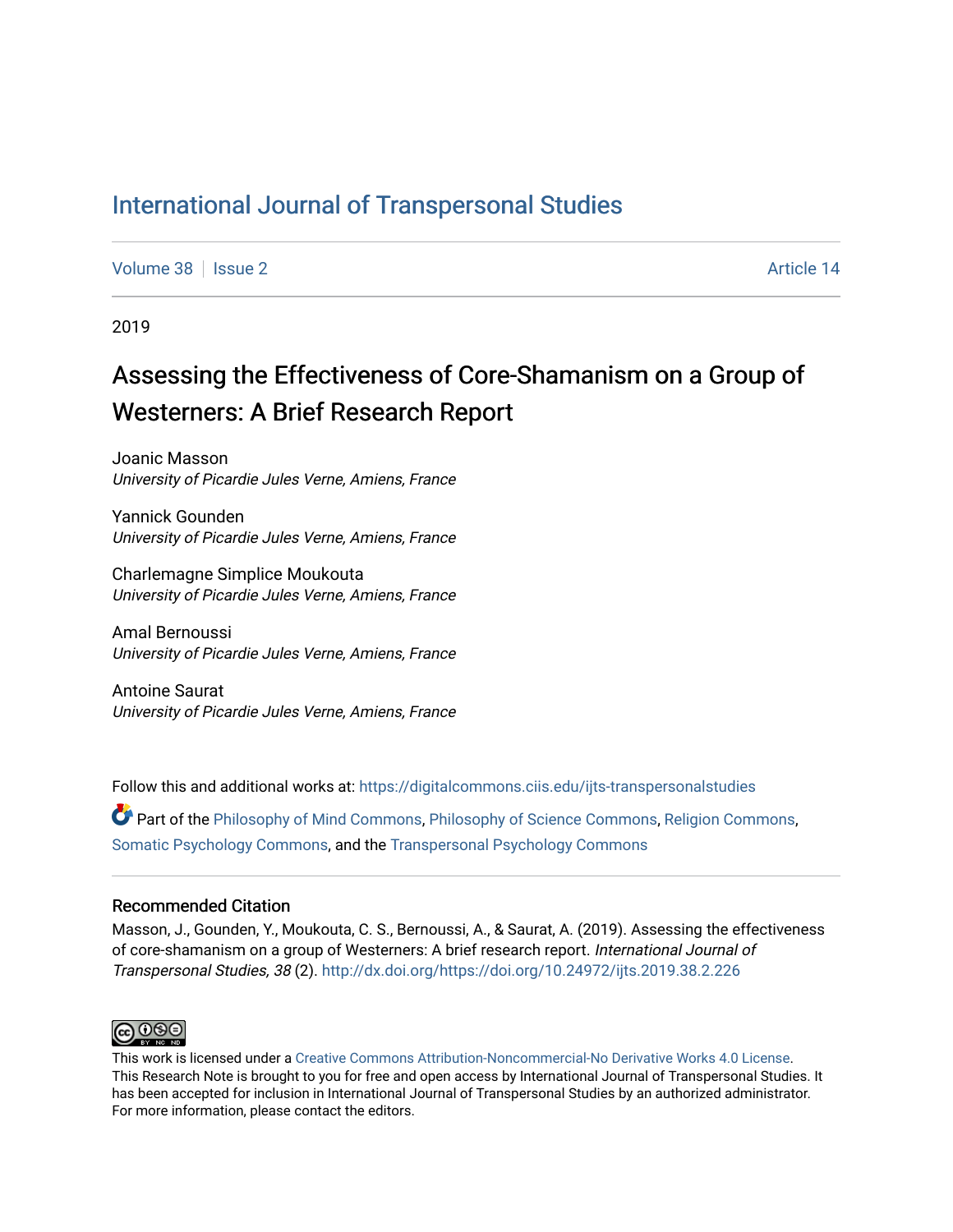## [International Journal of Transpersonal Studies](https://digitalcommons.ciis.edu/ijts-transpersonalstudies)

[Volume 38](https://digitalcommons.ciis.edu/ijts-transpersonalstudies/vol38) | [Issue 2](https://digitalcommons.ciis.edu/ijts-transpersonalstudies/vol38/iss2) Article 14

2019

# Assessing the Effectiveness of Core-Shamanism on a Group of Westerners: A Brief Research Report

Joanic Masson University of Picardie Jules Verne, Amiens, France

Yannick Gounden University of Picardie Jules Verne, Amiens, France

Charlemagne Simplice Moukouta University of Picardie Jules Verne, Amiens, France

Amal Bernoussi University of Picardie Jules Verne, Amiens, France

Antoine Saurat University of Picardie Jules Verne, Amiens, France

Follow this and additional works at: [https://digitalcommons.ciis.edu/ijts-transpersonalstudies](https://digitalcommons.ciis.edu/ijts-transpersonalstudies?utm_source=digitalcommons.ciis.edu%2Fijts-transpersonalstudies%2Fvol38%2Fiss2%2F14&utm_medium=PDF&utm_campaign=PDFCoverPages) 

Part of the [Philosophy of Mind Commons](http://network.bepress.com/hgg/discipline/535?utm_source=digitalcommons.ciis.edu%2Fijts-transpersonalstudies%2Fvol38%2Fiss2%2F14&utm_medium=PDF&utm_campaign=PDFCoverPages), [Philosophy of Science Commons,](http://network.bepress.com/hgg/discipline/536?utm_source=digitalcommons.ciis.edu%2Fijts-transpersonalstudies%2Fvol38%2Fiss2%2F14&utm_medium=PDF&utm_campaign=PDFCoverPages) [Religion Commons](http://network.bepress.com/hgg/discipline/538?utm_source=digitalcommons.ciis.edu%2Fijts-transpersonalstudies%2Fvol38%2Fiss2%2F14&utm_medium=PDF&utm_campaign=PDFCoverPages), [Somatic Psychology Commons,](http://network.bepress.com/hgg/discipline/1431?utm_source=digitalcommons.ciis.edu%2Fijts-transpersonalstudies%2Fvol38%2Fiss2%2F14&utm_medium=PDF&utm_campaign=PDFCoverPages) and the [Transpersonal Psychology Commons](http://network.bepress.com/hgg/discipline/1388?utm_source=digitalcommons.ciis.edu%2Fijts-transpersonalstudies%2Fvol38%2Fiss2%2F14&utm_medium=PDF&utm_campaign=PDFCoverPages) 

#### Recommended Citation

Masson, J., Gounden, Y., Moukouta, C. S., Bernoussi, A., & Saurat, A. (2019). Assessing the effectiveness of core-shamanism on a group of Westerners: A brief research report. International Journal of Transpersonal Studies, 38 (2). <http://dx.doi.org/https://doi.org/10.24972/ijts.2019.38.2.226>



This work is licensed under a [Creative Commons Attribution-Noncommercial-No Derivative Works 4.0 License.](https://creativecommons.org/licenses/by-nc-nd/4.0/) This Research Note is brought to you for free and open access by International Journal of Transpersonal Studies. It has been accepted for inclusion in International Journal of Transpersonal Studies by an authorized administrator. For more information, please contact the editors.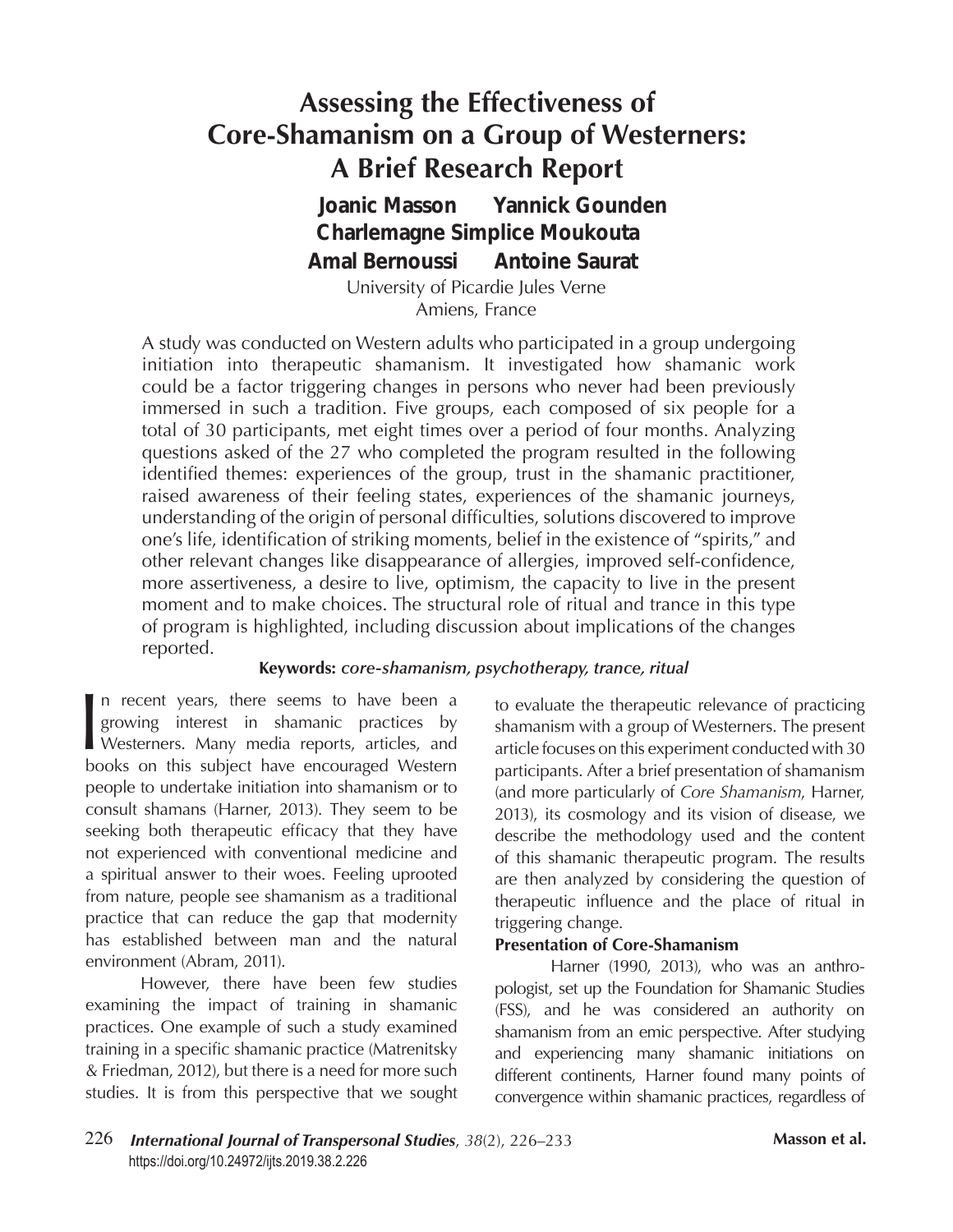# **Assessing the Effectiveness of Core-Shamanism on a Group of Westerners: A Brief Research Report**

 *Joanic Masson Yannick Gounden Amal Bernoussi Antoine Saurat Charlemagne Simplice Moukouta*

University of Picardie Jules Verne Amiens, France

A study was conducted on Western adults who participated in a group undergoing initiation into therapeutic shamanism. It investigated how shamanic work could be a factor triggering changes in persons who never had been previously immersed in such a tradition. Five groups, each composed of six people for a total of 30 participants, met eight times over a period of four months. Analyzing questions asked of the 27 who completed the program resulted in the following identified themes: experiences of the group, trust in the shamanic practitioner, raised awareness of their feeling states, experiences of the shamanic journeys, understanding of the origin of personal difficulties, solutions discovered to improve one's life, identification of striking moments, belief in the existence of "spirits," and other relevant changes like disappearance of allergies, improved self-confidence, more assertiveness, a desire to live, optimism, the capacity to live in the present moment and to make choices. The structural role of ritual and trance in this type of program is highlighted, including discussion about implications of the changes reported.

#### **Keywords:** *core-shamanism, psychotherapy, trance, ritual*

 $\overline{\phantom{a}}$ n recent years, there seems to have been a growing interest in shamanic practices by Westerners. Many media reports, articles, and books on this subject have encouraged Western people to undertake initiation into shamanism or to consult shamans (Harner, 2013). They seem to be seeking both therapeutic efficacy that they have not experienced with conventional medicine and a spiritual answer to their woes. Feeling uprooted from nature, people see shamanism as a traditional practice that can reduce the gap that modernity has established between man and the natural environment (Abram, 2011).

However, there have been few studies examining the impact of training in shamanic practices. One example of such a study examined training in a specific shamanic practice (Matrenitsky & Friedman, 2012), but there is a need for more such studies. It is from this perspective that we sought

to evaluate the therapeutic relevance of practicing shamanism with a group of Westerners. The present article focuses on this experiment conducted with 30 participants. After a brief presentation of shamanism (and more particularly of *Core Shamanism*, Harner, 2013), its cosmology and its vision of disease, we describe the methodology used and the content of this shamanic therapeutic program. The results are then analyzed by considering the question of therapeutic influence and the place of ritual in triggering change.

#### **Presentation of Core-Shamanism**

Harner (1990, 2013), who was an anthropologist, set up the Foundation for Shamanic Studies (FSS), and he was considered an authority on shamanism from an emic perspective. After studying and experiencing many shamanic initiations on different continents, Harner found many points of convergence within shamanic practices, regardless of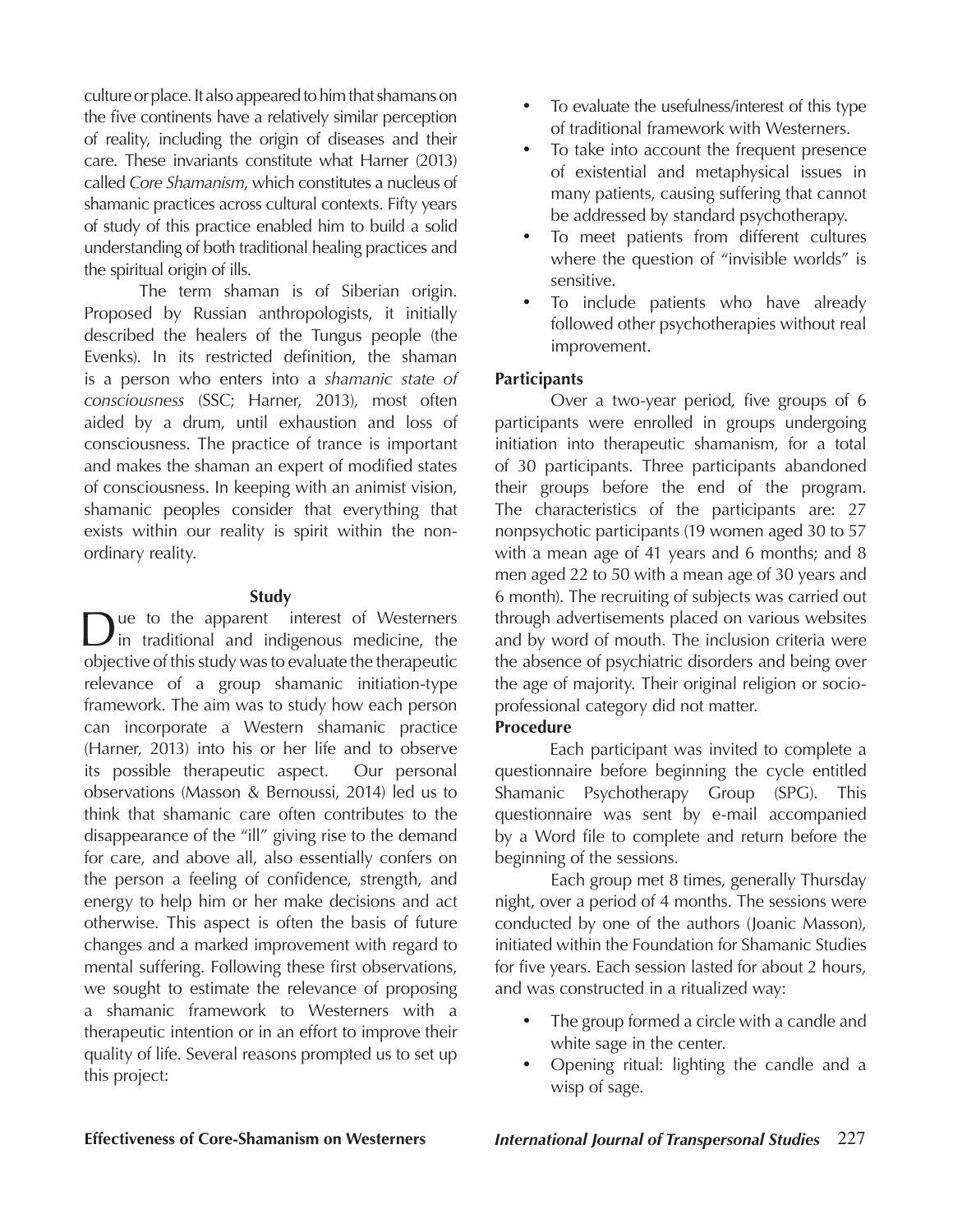culture or place. It also appeared to him that shamans on the five continents have a relatively similar perception of reality, including the origin of diseases and their care. These invariants constitute what Harner (2013) called *Core Shamanism*, which constitutes a nucleus of shamanic practices across cultural contexts. Fifty years of study of this practice enabled him to build a solid understanding of both traditional healing practices and the spiritual origin of ills.

The term shaman is of Siberian origin. Proposed by Russian anthropologists, it initially described the healers of the Tungus people (the Evenks). In its restricted definition, the shaman is a person who enters into a *shamanic state of consciousness* (SSC; Harner, 2013), most often aided by a drum, until exhaustion and loss of consciousness. The practice of trance is important and makes the shaman an expert of modified states of consciousness. In keeping with an animist vision, shamanic peoples consider that everything that exists within our reality is spirit within the nonordinary reality.

#### **Study**

Due to the apparent interest of Westerners in traditional and indigenous medicine, the objective of this study was to evaluate the therapeutic relevance of a group shamanic initiation-type framework. The aim was to study how each person can incorporate a Western shamanic practice (Harner, 2013) into his or her life and to observe its possible therapeutic aspect. Our personal observations (Masson & Bernoussi, 2014) led us to think that shamanic care often contributes to the disappearance of the "ill" giving rise to the demand for care, and above all, also essentially confers on the person a feeling of confidence, strength, and energy to help him or her make decisions and act otherwise. This aspect is often the basis of future changes and a marked improvement with regard to mental suffering. Following these first observations, we sought to estimate the relevance of proposing a shamanic framework to Westerners with a therapeutic intention or in an effort to improve their quality of life. Several reasons prompted us to set up this project:

- To evaluate the usefulness/interest of this type of traditional framework with Westerners.
- To take into account the frequent presence of existential and metaphysical issues in many patients, causing suffering that cannot be addressed by standard psychotherapy.
- • To meet patients from different cultures where the question of "invisible worlds" is sensitive.
- • To include patients who have already followed other psychotherapies without real improvement.

#### **Participants**

Over a two-year period, five groups of 6 participants were enrolled in groups undergoing initiation into therapeutic shamanism, for a total of 30 participants. Three participants abandoned their groups before the end of the program. The characteristics of the participants are: 27 nonpsychotic participants (19 women aged 30 to 57 with a mean age of 41 years and 6 months; and 8 men aged 22 to 50 with a mean age of 30 years and 6 month). The recruiting of subjects was carried out through advertisements placed on various websites and by word of mouth. The inclusion criteria were the absence of psychiatric disorders and being over the age of majority. Their original religion or socioprofessional category did not matter.

### **Procedure**

Each participant was invited to complete a questionnaire before beginning the cycle entitled Shamanic Psychotherapy Group (SPG). This questionnaire was sent by e-mail accompanied by a Word file to complete and return before the beginning of the sessions.

Each group met 8 times, generally Thursday night, over a period of 4 months. The sessions were conducted by one of the authors (Joanic Masson), initiated within the Foundation for Shamanic Studies for five years. Each session lasted for about 2 hours, and was constructed in a ritualized way:

- • The group formed a circle with a candle and white sage in the center.
- • Opening ritual: lighting the candle and a wisp of sage.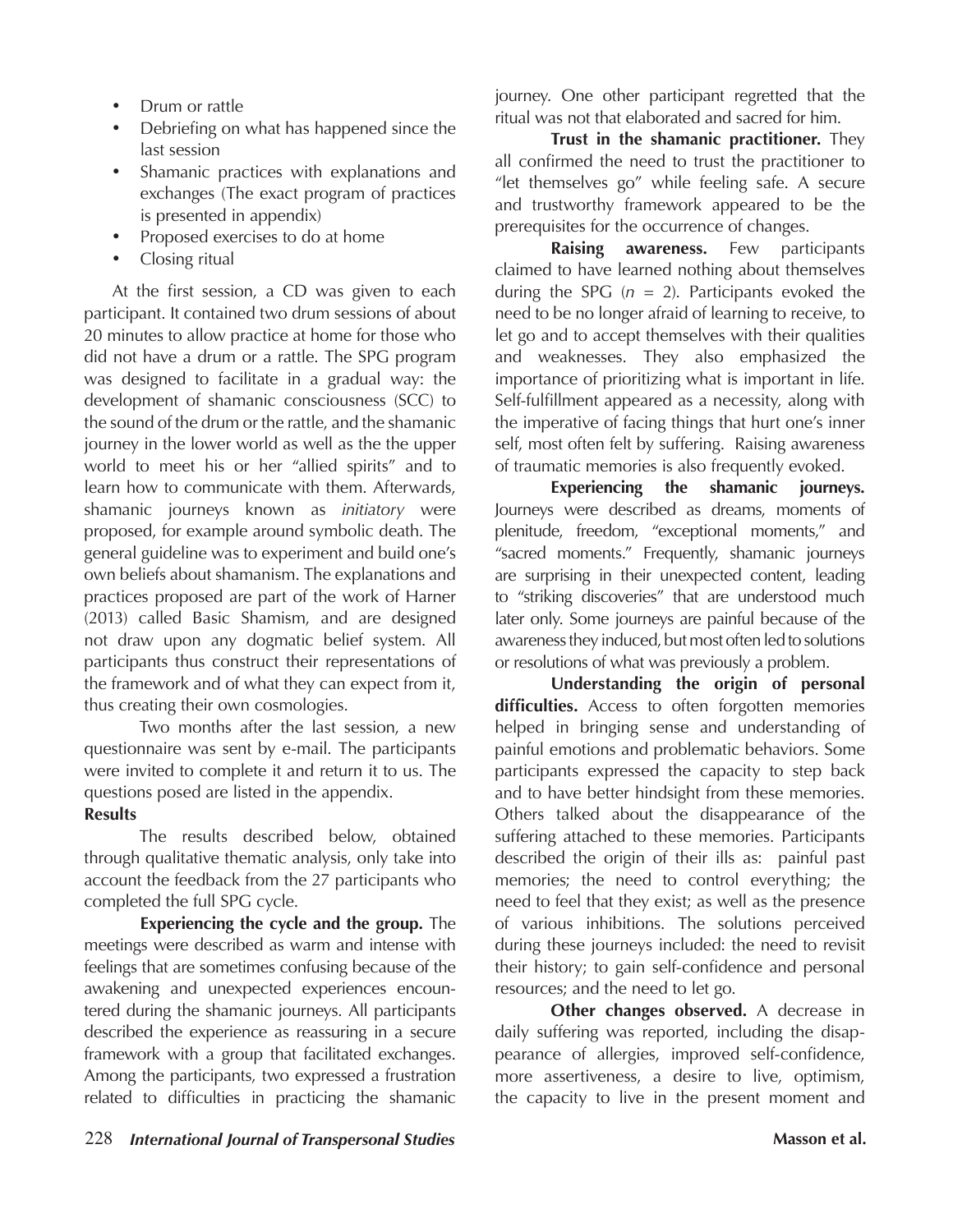- Drum or rattle
- Debriefing on what has happened since the last session
- Shamanic practices with explanations and exchanges (The exact program of practices is presented in appendix)
- Proposed exercises to do at home
- Closing ritual

At the first session, a CD was given to each participant. It contained two drum sessions of about 20 minutes to allow practice at home for those who did not have a drum or a rattle. The SPG program was designed to facilitate in a gradual way: the development of shamanic consciousness (SCC) to the sound of the drum or the rattle, and the shamanic journey in the lower world as well as the the upper world to meet his or her "allied spirits" and to learn how to communicate with them. Afterwards, shamanic journeys known as *initiatory* were proposed, for example around symbolic death. The general guideline was to experiment and build one's own beliefs about shamanism. The explanations and practices proposed are part of the work of Harner (2013) called Basic Shamism, and are designed not draw upon any dogmatic belief system. All participants thus construct their representations of the framework and of what they can expect from it, thus creating their own cosmologies.

Two months after the last session, a new questionnaire was sent by e-mail. The participants were invited to complete it and return it to us. The questions posed are listed in the appendix.

#### **Results**

The results described below, obtained through qualitative thematic analysis, only take into account the feedback from the 27 participants who completed the full SPG cycle.

**Experiencing the cycle and the group.** The meetings were described as warm and intense with feelings that are sometimes confusing because of the awakening and unexpected experiences encountered during the shamanic journeys. All participants described the experience as reassuring in a secure framework with a group that facilitated exchanges. Among the participants, two expressed a frustration related to difficulties in practicing the shamanic journey. One other participant regretted that the ritual was not that elaborated and sacred for him.

**Trust in the shamanic practitioner.** They all confirmed the need to trust the practitioner to "let themselves go" while feeling safe. A secure and trustworthy framework appeared to be the prerequisites for the occurrence of changes.

**Raising awareness.** Few participants claimed to have learned nothing about themselves during the SPG  $(n = 2)$ . Participants evoked the need to be no longer afraid of learning to receive, to let go and to accept themselves with their qualities and weaknesses. They also emphasized the importance of prioritizing what is important in life. Self-fulfillment appeared as a necessity, along with the imperative of facing things that hurt one's inner self, most often felt by suffering. Raising awareness of traumatic memories is also frequently evoked.

**Experiencing the shamanic journeys.**  Journeys were described as dreams, moments of plenitude, freedom, "exceptional moments," and "sacred moments." Frequently, shamanic journeys are surprising in their unexpected content, leading to "striking discoveries" that are understood much later only. Some journeys are painful because of the awareness they induced, but most often led to solutions or resolutions of what was previously a problem.

**Understanding the origin of personal difficulties.** Access to often forgotten memories helped in bringing sense and understanding of painful emotions and problematic behaviors. Some participants expressed the capacity to step back and to have better hindsight from these memories. Others talked about the disappearance of the suffering attached to these memories. Participants described the origin of their ills as: painful past memories; the need to control everything; the need to feel that they exist; as well as the presence of various inhibitions. The solutions perceived during these journeys included: the need to revisit their history; to gain self-confidence and personal resources; and the need to let go.

**Other changes observed.** A decrease in daily suffering was reported, including the disappearance of allergies, improved self-confidence, more assertiveness, a desire to live, optimism, the capacity to live in the present moment and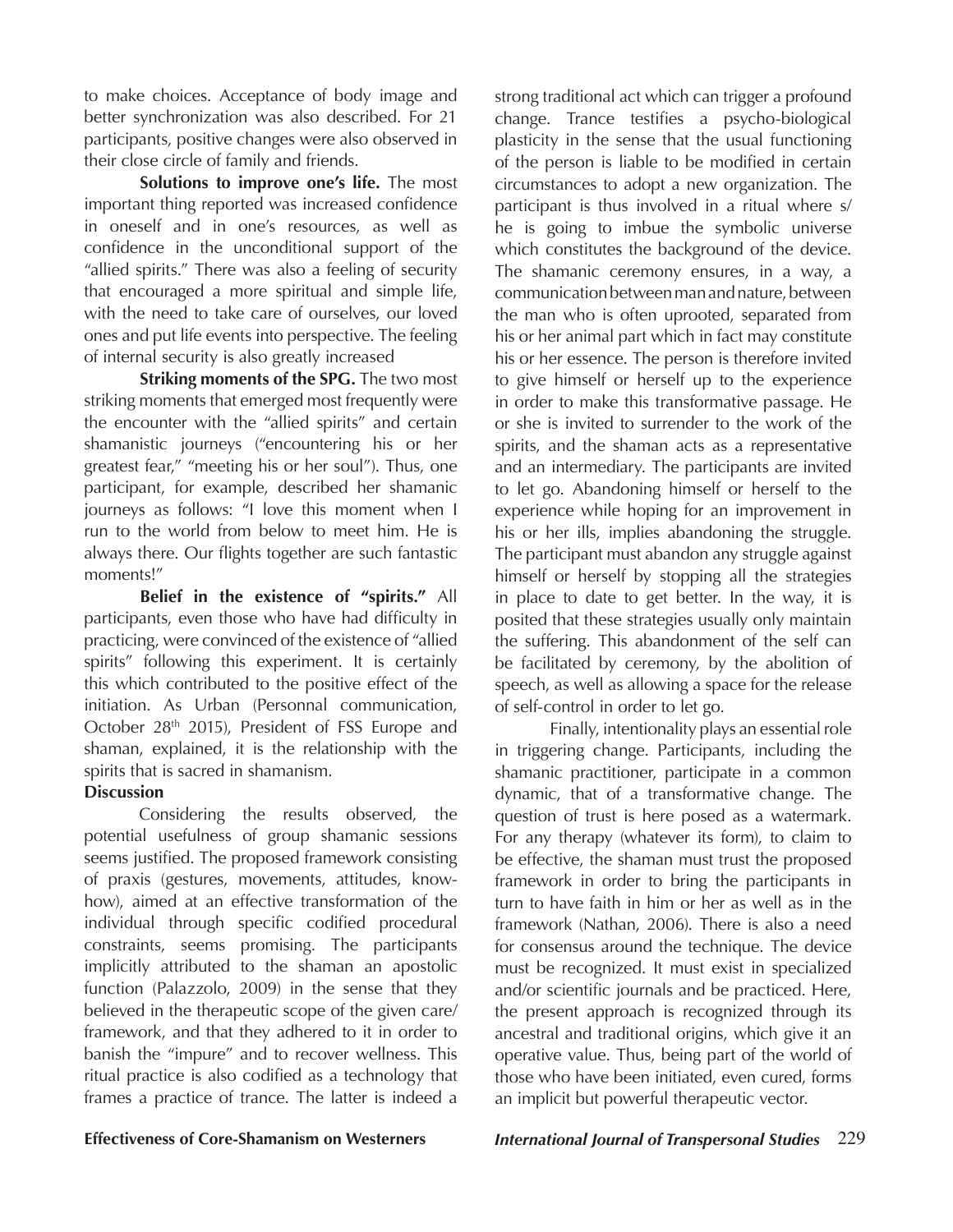to make choices. Acceptance of body image and better synchronization was also described. For 21 participants, positive changes were also observed in their close circle of family and friends.

**Solutions to improve one's life.** The most important thing reported was increased confidence in oneself and in one's resources, as well as confidence in the unconditional support of the "allied spirits." There was also a feeling of security that encouraged a more spiritual and simple life, with the need to take care of ourselves, our loved ones and put life events into perspective. The feeling of internal security is also greatly increased

**Striking moments of the SPG.** The two most striking moments that emerged most frequently were the encounter with the "allied spirits" and certain shamanistic journeys ("encountering his or her greatest fear," "meeting his or her soul"). Thus, one participant, for example, described her shamanic journeys as follows: "I love this moment when I run to the world from below to meet him. He is always there. Our flights together are such fantastic moments!"

**Belief in the existence of "spirits."** All participants, even those who have had difficulty in practicing, were convinced of the existence of "allied spirits" following this experiment. It is certainly this which contributed to the positive effect of the initiation. As Urban (Personnal communication, October 28<sup>th</sup> 2015), President of FSS Europe and shaman, explained, it is the relationship with the spirits that is sacred in shamanism.

#### **Discussion**

Considering the results observed, the potential usefulness of group shamanic sessions seems justified. The proposed framework consisting of praxis (gestures, movements, attitudes, knowhow), aimed at an effective transformation of the individual through specific codified procedural constraints, seems promising. The participants implicitly attributed to the shaman an apostolic function (Palazzolo, 2009) in the sense that they believed in the therapeutic scope of the given care/ framework, and that they adhered to it in order to banish the "impure" and to recover wellness. This ritual practice is also codified as a technology that frames a practice of trance. The latter is indeed a

strong traditional act which can trigger a profound change. Trance testifies a psycho-biological plasticity in the sense that the usual functioning of the person is liable to be modified in certain circumstances to adopt a new organization. The participant is thus involved in a ritual where s/ he is going to imbue the symbolic universe which constitutes the background of the device. The shamanic ceremony ensures, in a way, a communication between man and nature, between the man who is often uprooted, separated from his or her animal part which in fact may constitute his or her essence. The person is therefore invited to give himself or herself up to the experience in order to make this transformative passage. He or she is invited to surrender to the work of the spirits, and the shaman acts as a representative and an intermediary. The participants are invited to let go. Abandoning himself or herself to the experience while hoping for an improvement in his or her ills, implies abandoning the struggle. The participant must abandon any struggle against himself or herself by stopping all the strategies in place to date to get better. In the way, it is posited that these strategies usually only maintain the suffering. This abandonment of the self can be facilitated by ceremony, by the abolition of speech, as well as allowing a space for the release of self-control in order to let go.

Finally, intentionality plays an essential role in triggering change. Participants, including the shamanic practitioner, participate in a common dynamic, that of a transformative change. The question of trust is here posed as a watermark. For any therapy (whatever its form), to claim to be effective, the shaman must trust the proposed framework in order to bring the participants in turn to have faith in him or her as well as in the framework (Nathan, 2006). There is also a need for consensus around the technique. The device must be recognized. It must exist in specialized and/or scientific journals and be practiced. Here, the present approach is recognized through its ancestral and traditional origins, which give it an operative value. Thus, being part of the world of those who have been initiated, even cured, forms an implicit but powerful therapeutic vector.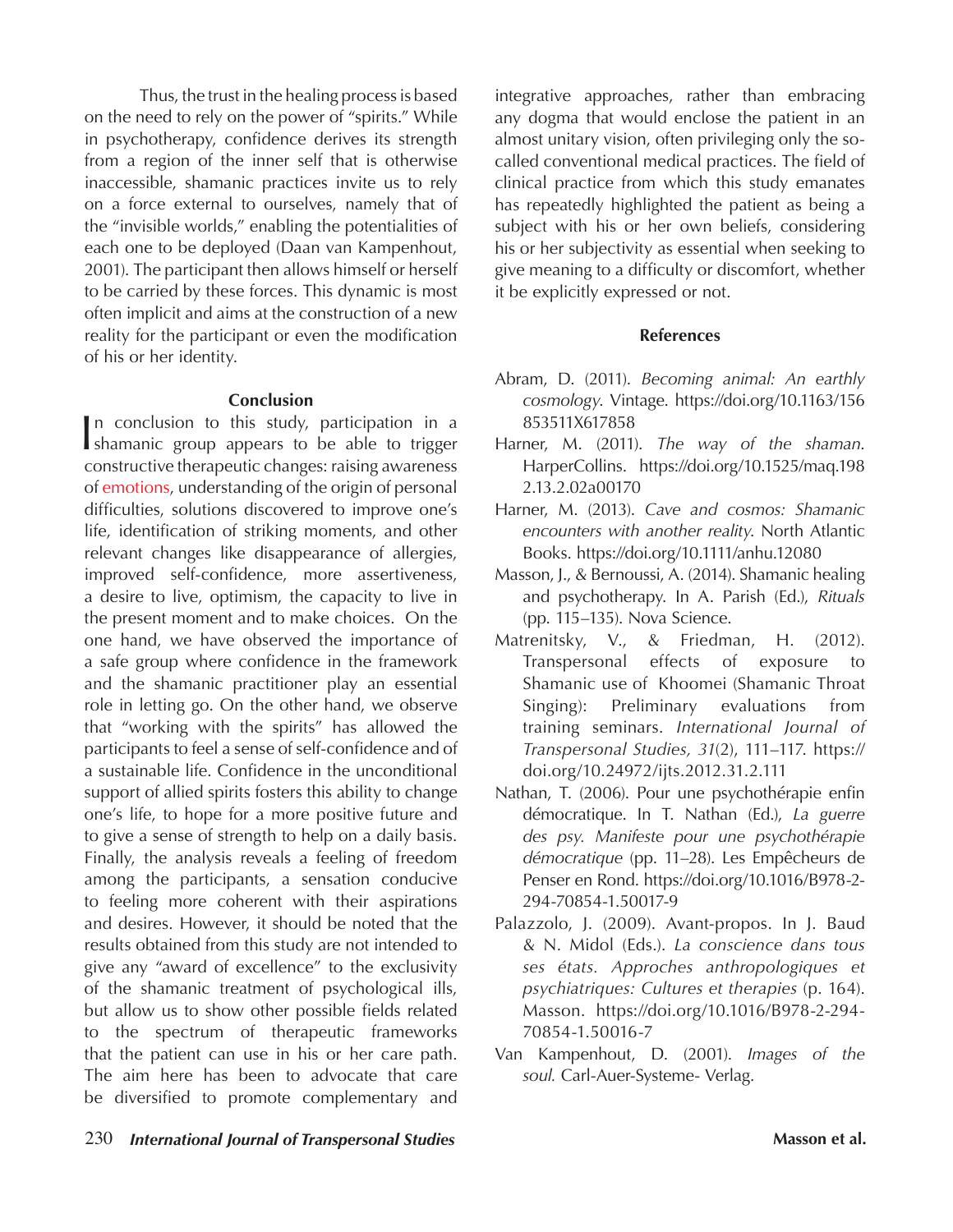Thus, the trust in the healing process is based on the need to rely on the power of "spirits." While in psychotherapy, confidence derives its strength from a region of the inner self that is otherwise inaccessible, shamanic practices invite us to rely on a force external to ourselves, namely that of the "invisible worlds," enabling the potentialities of each one to be deployed (Daan van Kampenhout, 2001). The participant then allows himself or herself to be carried by these forces. This dynamic is most often implicit and aims at the construction of a new reality for the participant or even the modification of his or her identity.

#### **Conclusion**

In conclusion to this study, participation in a shamanic group appears to be able to trigger n conclusion to this study, participation in a constructive therapeutic changes: raising awareness of emotions, understanding of the origin of personal difficulties, solutions discovered to improve one's life, identification of striking moments, and other relevant changes like disappearance of allergies, improved self-confidence, more assertiveness, a desire to live, optimism, the capacity to live in the present moment and to make choices. On the one hand, we have observed the importance of a safe group where confidence in the framework and the shamanic practitioner play an essential role in letting go. On the other hand, we observe that "working with the spirits" has allowed the participants to feel a sense of self-confidence and of a sustainable life. Confidence in the unconditional support of allied spirits fosters this ability to change one's life, to hope for a more positive future and to give a sense of strength to help on a daily basis. Finally, the analysis reveals a feeling of freedom among the participants, a sensation conducive to feeling more coherent with their aspirations and desires. However, it should be noted that the results obtained from this study are not intended to give any "award of excellence" to the exclusivity of the shamanic treatment of psychological ills, but allow us to show other possible fields related to the spectrum of therapeutic frameworks that the patient can use in his or her care path. The aim here has been to advocate that care be diversified to promote complementary and

integrative approaches, rather than embracing any dogma that would enclose the patient in an almost unitary vision, often privileging only the socalled conventional medical practices. The field of clinical practice from which this study emanates has repeatedly highlighted the patient as being a subject with his or her own beliefs, considering his or her subjectivity as essential when seeking to give meaning to a difficulty or discomfort, whether it be explicitly expressed or not.

#### **References**

- Abram, D. (2011). *Becoming animal: An earthly cosmology*. Vintage. https://doi.org/10.1163/156 853511X617858
- Harner, M. (2011). *The way of the shaman*. HarperCollins. https://doi.org/10.1525/maq.198 2.13.2.02a00170
- Harner, M. (2013). *Cave and cosmos: Shamanic encounters with another reality*. North Atlantic Books. https://doi.org/10.1111/anhu.12080
- Masson, J., & Bernoussi, A. (2014). Shamanic healing and psychotherapy. In A. Parish (Ed.), *Rituals*  (pp. 115–135). Nova Science.
- Matrenitsky, V., & Friedman, H. (2012). Transpersonal effects of exposure to Shamanic use of Khoomei (Shamanic Throat Singing): Preliminary evaluations from training seminars. *International Journal of Transpersonal Studies, 31*(2), 111–117. https:// doi.org/10.24972/ijts.2012.31.2.111
- Nathan, T. (2006). Pour une psychothérapie enfin démocratique. In T. Nathan (Ed.), *La guerre des psy. Manifeste pour une psychothérapie démocratique* (pp. 11–28). Les Empêcheurs de Penser en Rond. https://doi.org/10.1016/B978-2- 294-70854-1.50017-9
- Palazzolo, J. (2009). Avant-propos. In J. Baud & N. Midol (Eds.). *La conscience dans tous ses états. Approches anthropologiques et psychiatriques: Cultures et therapies* (p. 164). Masson. https://doi.org/10.1016/B978-2-294- 70854-1.50016-7
- Van Kampenhout, D. (2001). *Images of the soul.* Carl-Auer-Systeme- Verlag.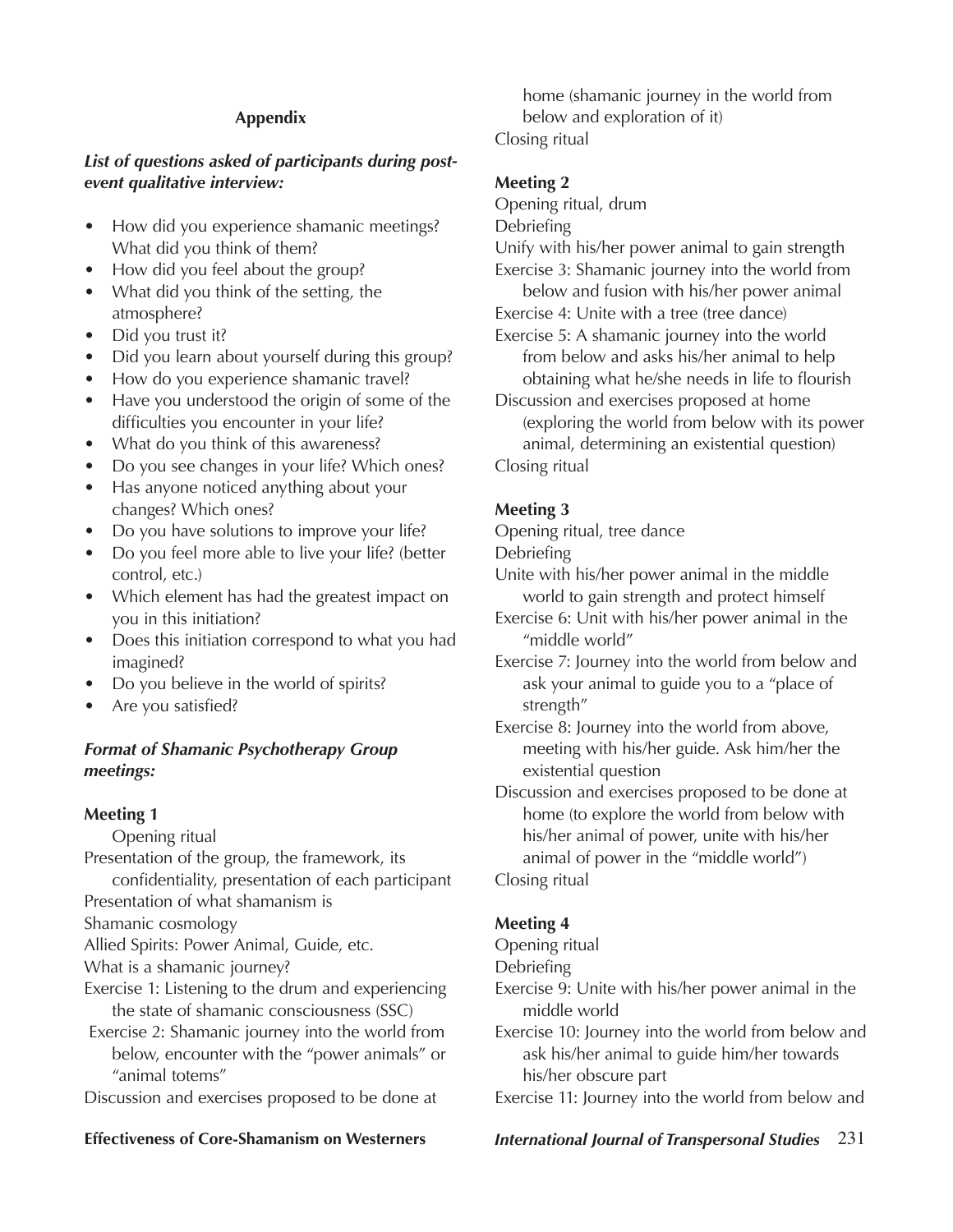#### **Appendix**

#### *List of questions asked of participants during postevent qualitative interview:*

- How did you experience shamanic meetings? What did you think of them?
- How did you feel about the group?
- What did you think of the setting, the atmosphere?
- Did you trust it?
- Did you learn about yourself during this group?
- How do you experience shamanic travel?
- Have you understood the origin of some of the difficulties you encounter in your life?
- What do you think of this awareness?
- Do you see changes in your life? Which ones?
- Has anyone noticed anything about your changes? Which ones?
- Do you have solutions to improve your life?
- Do you feel more able to live your life? (better control, etc.)
- Which element has had the greatest impact on you in this initiation?
- Does this initiation correspond to what you had imagined?
- Do you believe in the world of spirits?
- Are you satisfied?

#### *Format of Shamanic Psychotherapy Group meetings:*

#### **Meeting 1**

Opening ritual Presentation of the group, the framework, its confidentiality, presentation of each participant Presentation of what shamanism is

Shamanic cosmology

Allied Spirits: Power Animal, Guide, etc.

What is a shamanic journey?

Exercise 1: Listening to the drum and experiencing the state of shamanic consciousness (SSC)

 Exercise 2: Shamanic journey into the world from below, encounter with the "power animals" or "animal totems"

Discussion and exercises proposed to be done at

home (shamanic journey in the world from below and exploration of it) Closing ritual

#### **Meeting 2**

- Opening ritual, drum
- Debriefing
- Unify with his/her power animal to gain strength
- Exercise 3: Shamanic journey into the world from below and fusion with his/her power animal
- Exercise 4: Unite with a tree (tree dance)
- Exercise 5: A shamanic journey into the world from below and asks his/her animal to help obtaining what he/she needs in life to flourish
- Discussion and exercises proposed at home (exploring the world from below with its power animal, determining an existential question) Closing ritual

## **Meeting 3**

Opening ritual, tree dance

Debriefing

Unite with his/her power animal in the middle world to gain strength and protect himself

- Exercise 6: Unit with his/her power animal in the "middle world"
- Exercise 7: Journey into the world from below and ask your animal to guide you to a "place of strength"

Exercise 8: Journey into the world from above, meeting with his/her guide. Ask him/her the existential question

Discussion and exercises proposed to be done at home (to explore the world from below with his/her animal of power, unite with his/her animal of power in the "middle world")

Closing ritual

#### **Meeting 4**

Opening ritual

- Debriefing
- Exercise 9: Unite with his/her power animal in the middle world

Exercise 10: Journey into the world from below and ask his/her animal to guide him/her towards his/her obscure part

Exercise 11: Journey into the world from below and

#### **Effectiveness of Core-Shamanism on Westerners** *International Journal of Transpersonal Studies* 231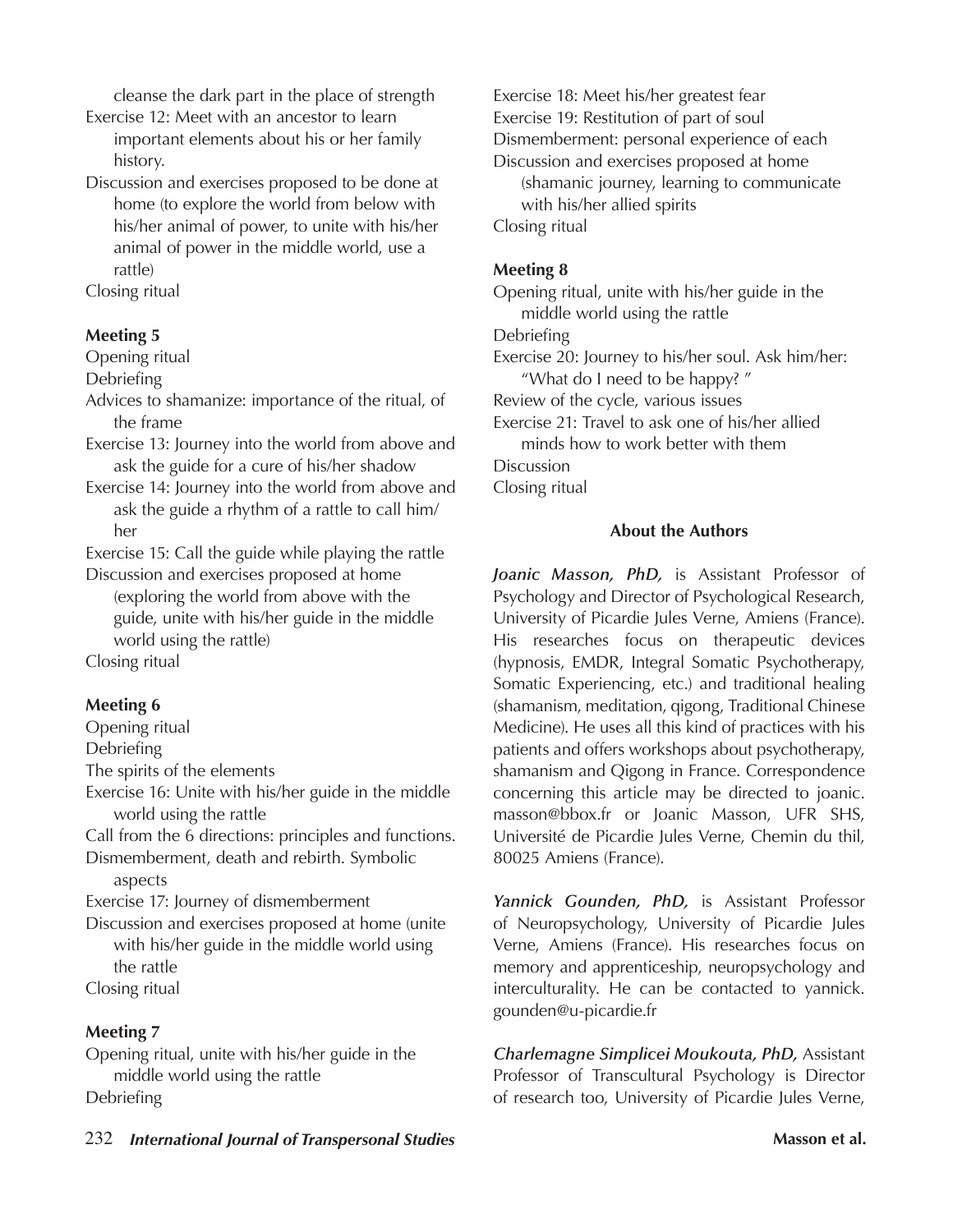cleanse the dark part in the place of strength

Exercise 12: Meet with an ancestor to learn important elements about his or her family history.

Discussion and exercises proposed to be done at home (to explore the world from below with his/her animal of power, to unite with his/her animal of power in the middle world, use a rattle)

Closing ritual

#### **Meeting 5**

Opening ritual

Debriefing

- Advices to shamanize: importance of the ritual, of the frame
- Exercise 13: Journey into the world from above and ask the guide for a cure of his/her shadow
- Exercise 14: Journey into the world from above and ask the guide a rhythm of a rattle to call him/ her

Exercise 15: Call the guide while playing the rattle

Discussion and exercises proposed at home (exploring the world from above with the guide, unite with his/her guide in the middle world using the rattle)

Closing ritual

#### **Meeting 6**

- Opening ritual
- Debriefing

The spirits of the elements

Exercise 16: Unite with his/her guide in the middle world using the rattle

Call from the 6 directions: principles and functions. Dismemberment, death and rebirth. Symbolic

aspects

Exercise 17: Journey of dismemberment

Discussion and exercises proposed at home (unite with his/her guide in the middle world using the rattle Closing ritual

#### **Meeting 7**

Opening ritual, unite with his/her guide in the middle world using the rattle **Debriefing** 

Exercise 18: Meet his/her greatest fear Exercise 19: Restitution of part of soul Dismemberment: personal experience of each Discussion and exercises proposed at home (shamanic journey, learning to communicate with his/her allied spirits Closing ritual

#### **Meeting 8**

Opening ritual, unite with his/her guide in the middle world using the rattle Debriefing

Exercise 20: Journey to his/her soul. Ask him/her: "What do I need to be happy? "

Review of the cycle, various issues

Exercise 21: Travel to ask one of his/her allied minds how to work better with them

Discussion

Closing ritual

#### **About the Authors**

*Joanic Masson, PhD,* is Assistant Professor of Psychology and Director of Psychological Research, University of Picardie Jules Verne, Amiens (France). His researches focus on therapeutic devices (hypnosis, EMDR, Integral Somatic Psychotherapy, Somatic Experiencing, etc.) and traditional healing (shamanism, meditation, qigong, Traditional Chinese Medicine). He uses all this kind of practices with his patients and offers workshops about psychotherapy, shamanism and Qigong in France. Correspondence concerning this article may be directed to joanic. masson@bbox.fr or Joanic Masson, UFR SHS, Université de Picardie Jules Verne, Chemin du thil, 80025 Amiens (France).

*Yannick Gounden, PhD,* is Assistant Professor of Neuropsychology, University of Picardie Jules Verne, Amiens (France). His researches focus on memory and apprenticeship, neuropsychology and interculturality. He can be contacted to yannick. gounden@u-picardie.fr

*Charlemagne Simplicei Moukouta, PhD,* Assistant Professor of Transcultural Psychology is Director of research too, University of Picardie Jules Verne,